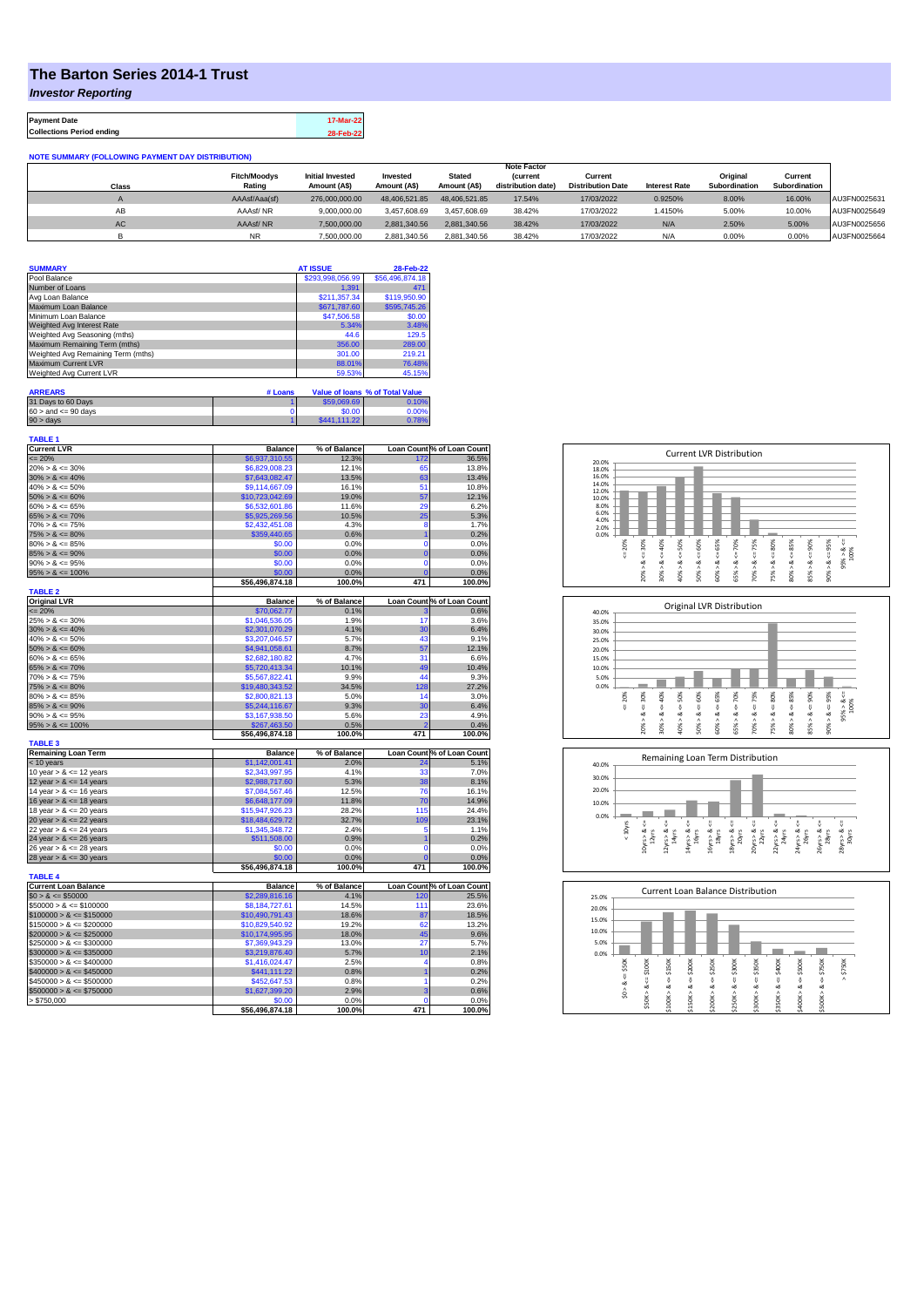## **The Barton Series 2014-1 Trust**

*Investor Reporting*

**Payment Date 17-Mar-22 Collections Period ending 28-Feb-22**

**NOTE SUMMARY (FOLLOWING PAYMENT DAY DISTRIBUTION)**

|           |                     |                         |               |               | <b>Note Factor</b> |                          |                      |               |                      |              |
|-----------|---------------------|-------------------------|---------------|---------------|--------------------|--------------------------|----------------------|---------------|----------------------|--------------|
|           | <b>Fitch/Moodys</b> | <b>Initial Invested</b> | Invested      | <b>Stated</b> | <i>(current</i>    | Current                  |                      | Original      | Current              |              |
| Class     | Rating              | Amount (A\$)            | Amount (A\$)  | Amount (A\$)  | distribution date) | <b>Distribution Date</b> | <b>Interest Rate</b> | Subordination | <b>Subordination</b> |              |
|           | AAAsf/Aaa(sf)       | 276.000.000.00          | 48.406.521.85 | 48.406.521.85 | 17.54%             | 17/03/2022               | 0.9250%              | 8.00%         | 16.00%               | AU3FN0025631 |
| AB        | AAAsf/NR            | 9,000,000.00            | 3.457.608.69  | 3.457.608.69  | 38.42%             | 17/03/2022               | 1.4150%              | 5.00%         | 10.00%               | AU3FN0025649 |
| <b>AC</b> | AAAsf/NR            | 7,500,000.00            | 2.881.340.56  | 2.881.340.56  | 38.42%             | 17/03/2022               | N/A                  | 2.50%         | 5.00%                | AU3FN0025656 |
|           | <b>NR</b>           | 7.500.000.00            | 2.881.340.56  | 2.881.340.56  | 38.42%             | 17/03/2022               | N/A                  | 0.00%         | 0.00%                | AU3FN0025664 |

| <b>SUMMARY</b>                     | <b>AT ISSUE</b>  | 28-Feb-22       |
|------------------------------------|------------------|-----------------|
| Pool Balance                       | \$293,998,056.99 | \$56,496,874.18 |
| Number of Loans                    | 1.391            | 471             |
| Avg Loan Balance                   | \$211,357.34     | \$119,950.90    |
| Maximum Loan Balance               | \$671,787.60     | \$595,745.26    |
| Minimum Loan Balance               | \$47,506.58      | \$0.00          |
| Weighted Avg Interest Rate         | 5.34%            | 3.48%           |
| Weighted Avg Seasoning (mths)      | 44.6             | 129.5           |
| Maximum Remaining Term (mths)      | 356.00           | 289.00          |
| Weighted Avg Remaining Term (mths) | 301.00           | 219.21          |
| Maximum Current LVR                | 88.01%           | 76.48%          |
| Weighted Avg Current LVR           | 59.53%           | 45.15%          |

| <b>ARREARS</b>            | # Loans |              | Value of Ioans % of Total Value |
|---------------------------|---------|--------------|---------------------------------|
| 31 Days to 60 Days        |         | \$59,069.69  | 0.10%                           |
| $60 >$ and $\leq 90$ days |         | \$0.00       | 0.00%                           |
| $90 >$ days               |         | \$441.111.22 | 0.78%                           |

| <b>TABLE 1</b><br><b>Current LVR</b> | <b>Balance</b>  | % of Balance |                | Loan Count % of Loan Count |
|--------------------------------------|-----------------|--------------|----------------|----------------------------|
| $= 20%$                              | \$6,937,310.55  | 12.3%        | 172            | 36.5%                      |
| $20\% > 8 \le 30\%$                  | \$6,829,008.23  | 12.1%        | 65             | 13.8%                      |
| $30\% > 8 \le 40\%$                  | \$7,643,082.47  | 13.5%        | 63             | 13.4%                      |
| $40\% > 8 \le 50\%$                  | \$9,114,667.09  | 16.1%        | 51             | 10.8%                      |
| $50\% > 8 \le 60\%$                  | \$10,723,042.69 | 19.0%        | 57             | 12.1%                      |
| $60\% > 8 \le 65\%$                  | \$6,532,601.86  | 11.6%        | 29             | 6.2%                       |
| $65\% > 8 \le 70\%$                  | \$5,925,269.56  | 10.5%        | 25             | 5.3%                       |
| $70\% > 8 \le 75\%$                  | \$2,432,451.08  | 4.3%         | 8              | 1.7%                       |
| $75\% > 8 \le 80\%$                  | \$359,440.65    | 0.6%         | $\overline{1}$ | 0.2%                       |
| $80\% > 8 \le 85\%$                  | \$0.00          | 0.0%         | 0              | 0.0%                       |
| $85\% > 8 \le 90\%$                  | \$0.00          | 0.0%         | $\overline{0}$ | 0.0%                       |
| $90\% > 8 \le 95\%$                  | \$0.00          | 0.0%         | $\mathbf 0$    | 0.0%                       |
| $95\% > 8 \le 100\%$                 | \$0.00          | 0.0%         | $\mathbf{C}$   | 0.0%                       |
|                                      | \$56,496,874.18 | 100.0%       | 471            | 100.0%                     |
| <b>TABLE 2</b>                       |                 |              |                |                            |
| <b>Original LVR</b>                  | <b>Balance</b>  | % of Balance |                | Loan Count % of Loan Count |
| $= 20%$                              | \$70,062.77     | 0.1%         | 3              | 0.6%                       |
| $25\% > 8 \le 30\%$                  | \$1,046,536.05  | 1.9%         | 17             | 3.6%                       |
| $30\% > 8 \le 40\%$                  | \$2,301,070.29  | 4.1%         | 30             | 6.4%                       |
| $40\% > 8 \le 50\%$                  | \$3,207,046.57  | 5.7%         | 43             | 9.1%                       |
| $50\% > 8 \le 60\%$                  | \$4,941,058.61  | 8.7%         | 57             | 12.1%                      |
| $60\% > 8 \le 65\%$                  | \$2,682,180.82  | 4.7%         | 31             | 6.6%                       |
| $65\% > 8 \le 70\%$                  | \$5,720,413.34  | 10.1%        | 49             | 10.4%                      |
| $70\% > 8 \le 75\%$                  | \$5,567,822.41  | 9.9%         | 44             | 9.3%                       |
| $75\% > 8 \le 80\%$                  | \$19,480,343.52 | 34.5%        | 128            | 27.2%                      |
| $80\% > 8 \le 85\%$                  | \$2,800,821.13  | 5.0%         | 14             | 3.0%                       |
| $85\% > 8 \le 90\%$                  | \$5,244,116.67  | 9.3%         | 30             | 6.4%                       |
| $90\% > 8 \le 95\%$                  | \$3,167,938.50  | 5.6%         | 23             | 4.9%                       |
| $95\% > 8 \le 100\%$                 | \$267.463.50    | 0.5%         |                | 0.4%                       |
| <b>TABLE 3</b>                       | \$56,496,874.18 | 100.0%       | 471            | 100.0%                     |
| <b>Remaining Loan Term</b>           | <b>Balance</b>  | % of Balance |                | Loan Count % of Loan Count |
| < 10 years                           | \$1,142,001.41  | 2.0%         | 24             | 5.1%                       |
| 10 year $> 8 \le 12$ years           | \$2,343,997.95  | 4.1%         | 33             | 7.0%                       |
| 12 year $> 8 \le 14$ years           | \$2,988,717.60  | 5.3%         | 38             | 8.1%                       |
| 14 year $> 8 \le 16$ years           | \$7,084,567.46  | 12.5%        | 76             | 16.1%                      |
| 16 year $> 8 \le 18$ years           | \$6,648,177.09  | 11.8%        | 70             | 14.9%                      |
| 18 year $> 8 \le 20$ years           | \$15,947,926.23 | 28.2%        | 115            | 24.4%                      |
| 20 year $> 8 \le 22$ years           | \$18,484,629.72 | 32.7%        | 109            | 23.1%                      |
| 22 year $> 8 \le 24$ years           | \$1,345,348.72  | 2.4%         | 5              | 1.1%                       |
| 24 year $> 8 \le 26$ years           | \$511,508.00    | 0.9%         | 1              | 0.2%                       |
| 26 year $> 8 \le 28$ years           | \$0.00          | 0.0%         | $\mathbf 0$    | 0.0%                       |
| 28 year $> 8 \le 30$ years           | \$0.00          | 0.0%         | $\overline{0}$ | 0.0%                       |
|                                      | \$56,496,874.18 | 100.0%       | 471            | 100.0%                     |
| <b>TABLE 4</b>                       |                 |              |                |                            |
| <b>Current Loan Balance</b>          | <b>Balance</b>  | % of Balance |                | Loan Count % of Loan Count |
| $$0 > 8 \le $50000$                  | \$2,289,816.16  | 4.1%         | 120            | 25.5%                      |
| $$50000 > 8 \le $100000$             | \$8,184,727.61  | 14.5%        | 111            | 23.6%                      |
| $$100000 > 8 \le $150000$            | \$10,490,791.43 | 18.6%        | 87             | 18.5%                      |
| $$150000 > 8 \le $200000$            | \$10,829,540.92 | 19.2%        | 62             | 13.2%                      |
| $$200000 > 8 \leq $250000$           | \$10,174,995.95 | 18.0%        | 45             | 9.6%                       |
| $$250000 > 8 \leq $300000$           | \$7,369,943.29  | 13.0%        | 27             | 5.7%                       |
| $$300000 > 8 \leq $350000$           | \$3,219,876.40  | 5.7%         | 10             | 2.1%                       |
| $$350000 > 8 \le $400000$            | \$1,416,024.47  | 2.5%         | 4              | 0.8%                       |
| $$400000 > 8 \le $450000$            | \$441,111.22    | 0.8%         |                | 0.2%                       |
| $$450000 > 8 \le $500000$            | \$452,647.53    | 0.8%         | 1              | 0.2%                       |
| $$500000 > 8 \le $750000$            | \$1,627,399.20  | 2.9%         | 3              | 0.6%                       |
| > \$750.000                          | \$0.00          | 0.0%         | $\Omega$       | 0.0%                       |
|                                      | \$56,496,874.18 | 100.0%       | 471            | 100.0%                     |







| 25.0% |         |        |        |         | <b>Current Loan Balance Distribution</b> |        |        |        |        |        |        |
|-------|---------|--------|--------|---------|------------------------------------------|--------|--------|--------|--------|--------|--------|
| 20.0% |         |        |        |         |                                          |        |        |        |        |        |        |
| 15.0% |         |        |        |         |                                          |        |        |        |        |        |        |
| 10.0% |         |        |        |         |                                          |        |        |        |        |        |        |
| 5.0%  |         |        |        |         |                                          |        |        |        |        |        |        |
| 0.0%  |         |        |        |         |                                          |        |        |        |        |        |        |
|       | \$50K   | \$100K | \$150K | \$200K  | \$250K                                   | \$300K | \$350K | \$400K | \$500K | \$750K | \$750K |
|       |         |        |        |         |                                          |        |        |        |        |        | Λ      |
|       | œ       | Ų<br>ಹ | œ      | ₩<br>œ  | υ<br>œ                                   | ű<br>∞ | ₩<br>œ | ű<br>ಹ | œ      | V<br>ಹ |        |
|       | Λ<br>S. |        |        |         |                                          | Λ      |        | ٨      |        | Λ      |        |
|       |         | \$50K> | \$100K | \$150K> | \$200K                                   | \$250K | \$300K | \$350K | \$400K | \$500K |        |
|       |         |        |        |         |                                          |        |        |        |        |        |        |